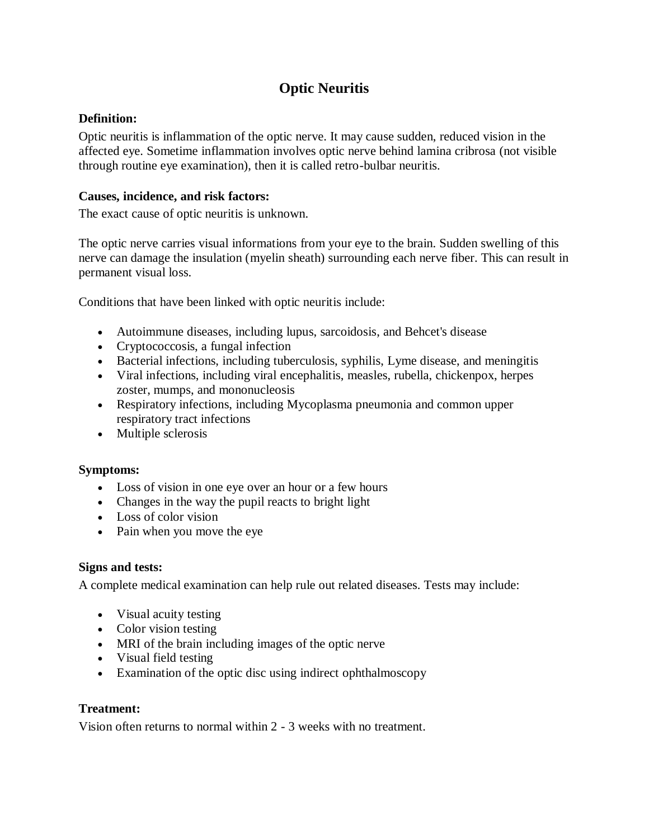# **Optic Neuritis**

## **Definition:**

Optic neuritis is inflammation of the optic nerve. It may cause sudden, reduced vision in the affected eye. Sometime inflammation involves optic nerve behind lamina cribrosa (not visible through routine eye examination), then it is called retro-bulbar neuritis.

## **Causes, incidence, and risk factors:**

The exact cause of optic neuritis is unknown.

The optic nerve carries visual informations from your eye to the brain. Sudden swelling of this nerve can damage the insulation [\(myelin](http://www.pennmedicine.org/encyclopedia/em_DisplayArticle.aspx?gcid=002261&ptid=1) sheath) surrounding each nerve fiber. This can result in permanent visual loss.

Conditions that have been linked with optic neuritis include:

- [Autoimmune diseases,](http://www.pennmedicine.org/encyclopedia/em_DisplayArticle.aspx?gcid=000816&ptid=1) including [lupus,](http://www.pennmedicine.org/encyclopedia/em_DisplayArticle.aspx?gcid=000435&ptid=1) [sarcoidosis,](http://www.pennmedicine.org/encyclopedia/em_DisplayArticle.aspx?gcid=000076&ptid=1) and Behcet's disease
- Cryptococcosis, a fungal infection
- Bacterial infections, including tuberculosis, syphilis, [Lyme disease,](http://www.pennmedicine.org/encyclopedia/em_DisplayArticle.aspx?gcid=001319&ptid=1) and [meningitis](http://www.pennmedicine.org/encyclopedia/em_DisplayArticle.aspx?gcid=000680&ptid=1)
- Viral infections, including viral [encephalitis,](http://www.pennmedicine.org/encyclopedia/em_DisplayArticle.aspx?gcid=001415&ptid=1) [measles,](http://www.pennmedicine.org/encyclopedia/em_DisplayArticle.aspx?gcid=001569&ptid=1) [rubella,](http://www.pennmedicine.org/encyclopedia/em_DisplayArticle.aspx?gcid=001574&ptid=1) [chickenpox,](http://www.pennmedicine.org/encyclopedia/em_DisplayArticle.aspx?gcid=001592&ptid=1) [herpes](http://www.pennmedicine.org/encyclopedia/em_DisplayArticle.aspx?gcid=000858&ptid=1)  [zoster,](http://www.pennmedicine.org/encyclopedia/em_DisplayArticle.aspx?gcid=000858&ptid=1) [mumps,](http://www.pennmedicine.org/encyclopedia/em_DisplayArticle.aspx?gcid=001557&ptid=1) and mononucleosis
- Respiratory infections, including [Mycoplasma pneumonia](http://www.pennmedicine.org/encyclopedia/em_DisplayArticle.aspx?gcid=000082&ptid=1) and common upper respiratory tract infections
- [Multiple sclerosis](http://www.pennmedicine.org/encyclopedia/em_DisplayArticle.aspx?gcid=000737&ptid=1)

### **Symptoms:**

- [Loss of vision](http://www.pennmedicine.org/encyclopedia/em_DisplayArticle.aspx?gcid=003040&ptid=1) in one eye over an hour or a few hours
- Changes in the way the pupil reacts to bright light
- Loss of color vision
- Pain when you move the eye

### **Signs and tests:**

A complete medical examination can help rule out related diseases. Tests may include:

- [Visual acuity testing](http://www.pennmedicine.org/encyclopedia/em_DisplayArticle.aspx?gcid=003396&ptid=1)
- Color vision testing
- [MRI of the brain](http://www.pennmedicine.org/encyclopedia/em_DisplayArticle.aspx?gcid=003791&ptid=1) including images of the optic nerve
- Visual field testing
- Examination of the optic disc using indirect [ophthalmoscopy](http://www.pennmedicine.org/encyclopedia/em_DisplayArticle.aspx?gcid=003881&ptid=1)

### **Treatment:**

Vision often returns to normal within 2 - 3 weeks with no treatment.